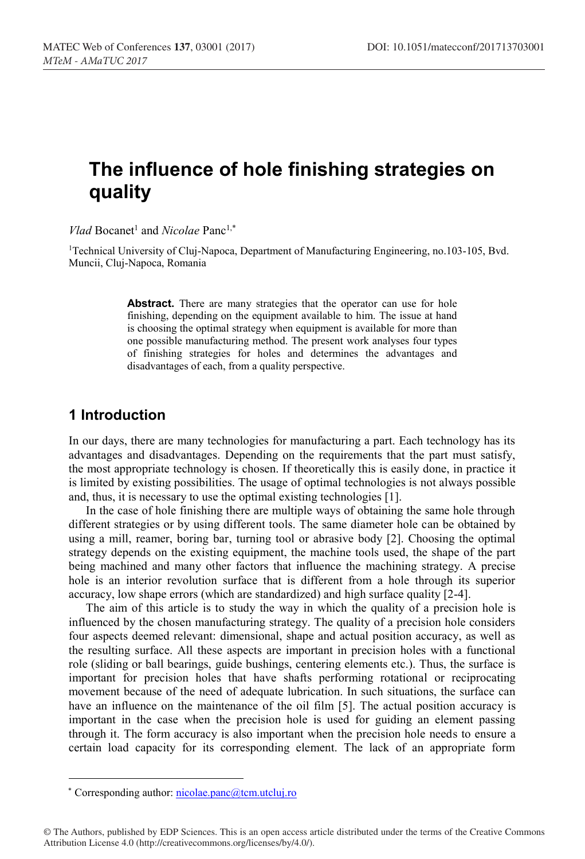# **The influence of hole finishing strategies on quality**

*Vlad* Bocanet<sup>1</sup> and *Nicolae* Panc<sup>1,\*</sup>

1Technical University of Cluj-Napoca, Department of Manufacturing Engineering, no.103-105, Bvd. Muncii, Cluj-Napoca, Romania

> Abstract. There are many strategies that the operator can use for hole finishing, depending on the equipment available to him. The issue at hand is choosing the optimal strategy when equipment is available for more than one possible manufacturing method. The present work analyses four types of finishing strategies for holes and determines the advantages and disadvantages of each, from a quality perspective.

# **1 Introduction**

In our days, there are many technologies for manufacturing a part. Each technology has its advantages and disadvantages. Depending on the requirements that the part must satisfy, the most appropriate technology is chosen. If theoretically this is easily done, in practice it is limited by existing possibilities. The usage of optimal technologies is not always possible and, thus, it is necessary to use the optimal existing technologies [1].

In the case of hole finishing there are multiple ways of obtaining the same hole through different strategies or by using different tools. The same diameter hole can be obtained by using a mill, reamer, boring bar, turning tool or abrasive body [2]. Choosing the optimal strategy depends on the existing equipment, the machine tools used, the shape of the part being machined and many other factors that influence the machining strategy. A precise hole is an interior revolution surface that is different from a hole through its superior accuracy, low shape errors (which are standardized) and high surface quality [2-4].

The aim of this article is to study the way in which the quality of a precision hole is influenced by the chosen manufacturing strategy. The quality of a precision hole considers four aspects deemed relevant: dimensional, shape and actual position accuracy, as well as the resulting surface. All these aspects are important in precision holes with a functional role (sliding or ball bearings, guide bushings, centering elements etc.). Thus, the surface is important for precision holes that have shafts performing rotational or reciprocating movement because of the need of adequate lubrication. In such situations, the surface can have an influence on the maintenance of the oil film [5]. The actual position accuracy is important in the case when the precision hole is used for guiding an element passing through it. The form accuracy is also important when the precision hole needs to ensure a certain load capacity for its corresponding element. The lack of an appropriate form

ȗ Corresponding author: nicolae.panc@tcm.utcluj.ro

<sup>©</sup> The Authors, published by EDP Sciences. This is an open access article distributed under the terms of the Creative Commons Attribution License 4.0 (http://creativecommons.org/licenses/by/4.0/).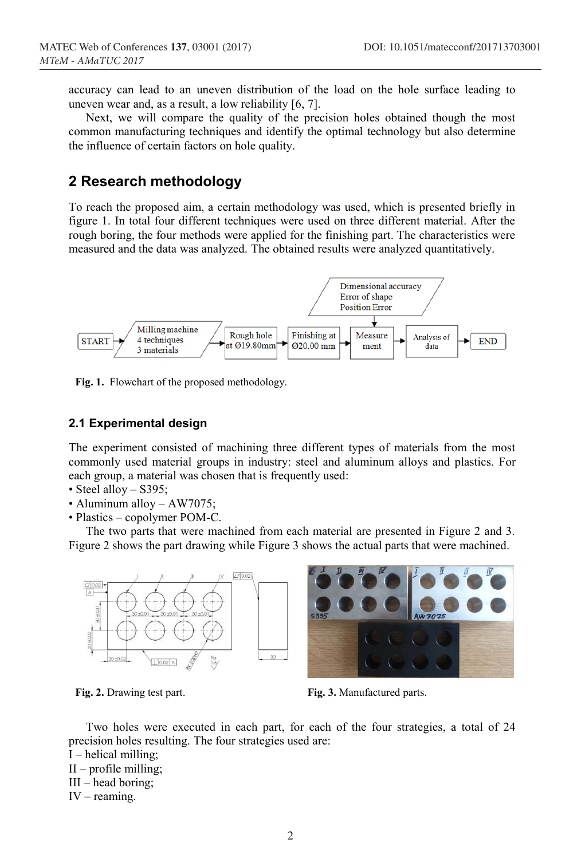accuracy can lead to an uneven distribution of the load on the hole surface leading to uneven wear and, as a result, a low reliability [6, 7].

Next, we will compare the quality of the precision holes obtained though the most common manufacturing techniques and identify the optimal technology but also determine the influence of certain factors on hole quality.

# **2 Research methodology**

**To reach the proposed aim, a certain methodology was used, which is presented briefly in figure 1. In total four different techniques were used on three different material. After the rough boring, the four methods were applied for the finishing part. The characteristics were measured and the data was analyzed. The obtained results were analyzed quantitatively.** 



Fig. 1. **Flowchart of the proposed methodology.**

## **2.1 Experimental design**

**The experiment consisted of machining three different types of materials from the most commonly used material groups in industry: steel and aluminum alloys and plastics. For each group, a material was chosen that is frequently used:**

- **Steel alloy – S395;**
- **Aluminum alloy – AW7075;**
- **Plastics – copolymer POM-C.**

**The two parts that were machined from each material are presented in Figure 2 and 3. Figure 2 shows the part drawing while Figure 3 shows the actual parts that were machined.**





Fig. 2. Drawing test part. Fig. 3. Manufactured parts.

**Two holes were executed in each part, for each of the four strategies, a total of 24 precision holes resulting. The four strategies used are:**

- **I – helical milling;**
- **II – profile milling;**
- **III – head boring;**
- **IV – reaming.**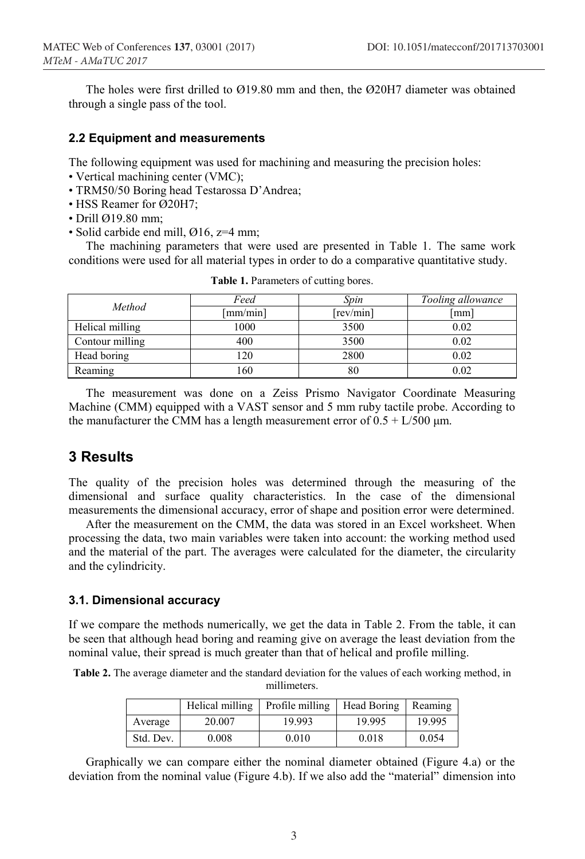**The holes were first drilled to Ø19.80 mm and then, the Ø20H7 diameter was obtained through a single pass of the tool.** 

### **2.2 Equipment and measurements**

**The following equipment was used for machining and measuring the precision holes:**

- **Vertical machining center (VMC);**
- **TRM50/50 Boring head Testarossa D'Andrea;**
- **HSS Reamer for Ø20H7;**
- **Drill Ø19.80 mm;**
- **Solid carbide end mill, Ø16, z=4 mm;**

**The machining parameters that were used are presented in Table 1. The same work conditions were used for all material types in order to do a comparative quantitative study.**

| Method          | Feed     | Spin      | Tooling allowance |
|-----------------|----------|-----------|-------------------|
|                 | [mm/min] | [rev/min] | [mm]              |
| Helical milling | 1000     | 3500      | 0.02              |
| Contour milling | 400      | 3500      | 0.02              |
| Head boring     | 20       | 2800      | 0.02              |
| Reaming         | -60      | 80        | 0.02              |

Table 1. **Parameters of cutting bores.**

**The measurement was done on a Zeiss Prismo Navigator Coordinate Measuring Machine (CMM) equipped with a VAST sensor and 5 mm ruby tactile probe. According to**  the manufacturer the CMM has a length measurement error of  $0.5 + L/500$   $\mu$ m.

## **3 Results**

**The quality of the precision holes was determined through the measuring of the dimensional and surface quality characteristics. In the case of the dimensional measurements the dimensional accuracy, error of shape and position error were determined.**

**After the measurement on the CMM, the data was stored in an Excel worksheet. When processing the data, two main variables were taken into account: the working method used and the material of the part. The averages were calculated for the diameter, the circularity and the cylindricity.** 

## **3.1. Dimensional accuracy**

**If we compare the methods numerically, we get the data in Table 2. From the table, it can be seen that although head boring and reaming give on average the least deviation from the nominal value, their spread is much greater than that of helical and profile milling.**

Table 2. **The average diameter and the standard deviation for the values of each working method, in millimeters.**

|           | Helical milling | Profile milling | Head Boring | Reaming |
|-----------|-----------------|-----------------|-------------|---------|
| Average   | 20.007          | 19.993          | 19.995      | 19.995  |
| Std. Dev. | 0.008           | 0.010           | 0.018       | 0.054   |

**Graphically we can compare either the nominal diameter obtained (Figure 4.a) or the deviation from the nominal value (Figure 4.b). If we also add the "material" dimension into**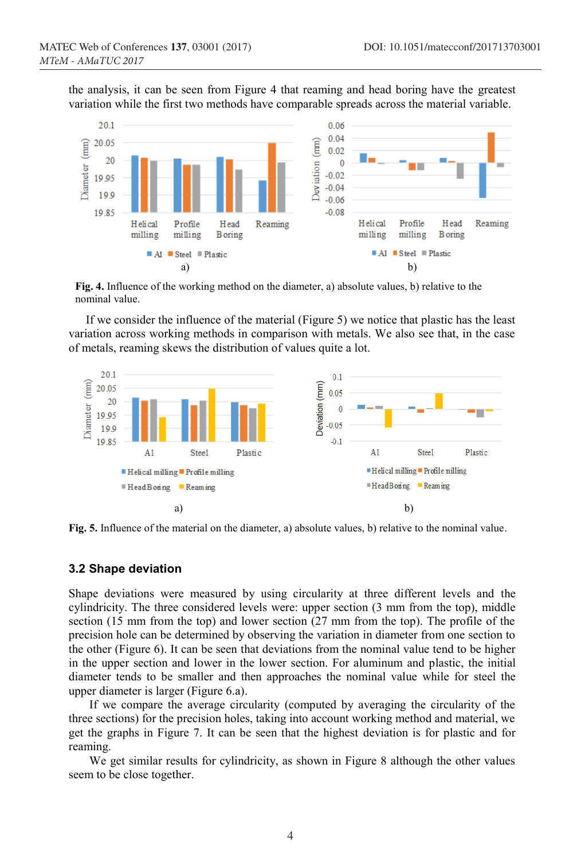**the analysis, it can be seen from Figure 4 that reaming and head boring have the greatest variation while the first two methods have comparable spreads across the material variable.**



Fig. 4. **Influence of the working method on the diameter, a) absolute values, b) relative to the nominal value.**

**If we consider the influence of the material (Figure 5) we notice that plastic has the least variation across working methods in comparison with metals. We also see that, in the case of metals, reaming skews the distribution of values quite a lot.**



Fig. 5. **Influence of the material on the diameter, a) absolute values, b) relative to the nominal value.**

### **3.2 Shape deviation**

**Shape deviations were measured by using circularity at three different levels and the cylindricity. The three considered levels were: upper section (3 mm from the top), middle section (15 mm from the top) and lower section (27 mm from the top). The profile of the precision hole can be determined by observing the variation in diameter from one section to the other (Figure 6). It can be seen that deviations from the nominal value tend to be higher in the upper section and lower in the lower section. For aluminum and plastic, the initial diameter tends to be smaller and then approaches the nominal value while for steel the upper diameter is larger (Figure 6.a).**

**If we compare the average circularity (computed by averaging the circularity of the three sections) for the precision holes, taking into account working method and material, we get the graphs in Figure 7. It can be seen that the highest deviation is for plastic and for reaming.**

**We get similar results for cylindricity, as shown in Figure 8 although the other values seem to be close together.**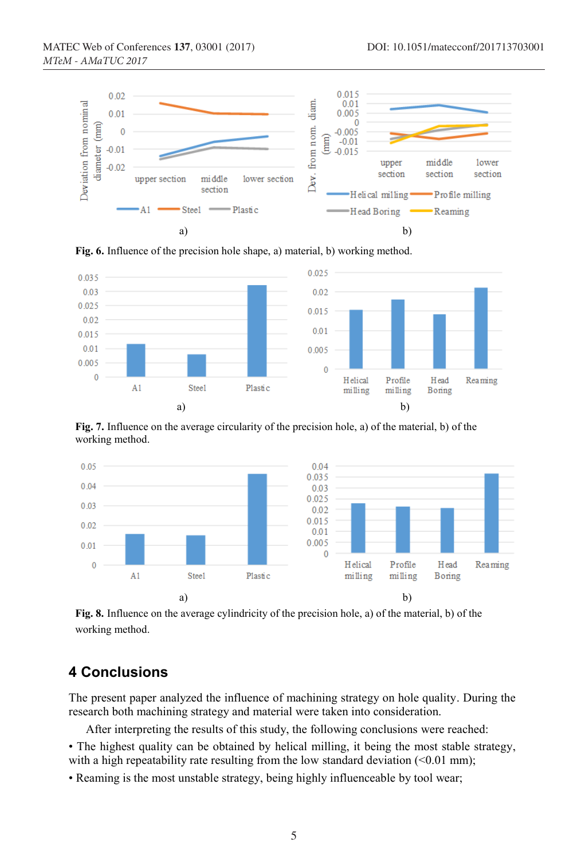

Fig. 6. Influence of the precision hole shape, a) material, b) working method.

![](_page_4_Figure_4.jpeg)

Fig. 7. Influence on the average circularity of the precision hole, a) of the material, b) of the working method.

![](_page_4_Figure_6.jpeg)

Fig. **8**. Influence on the average cylindricity of the precision hole, a) of the material, b) of the working method.

# **4 Conclusions**

**The present paper analyzed the influence of machining strategy on hole quality. During the research both machining strategy and material were taken into consideration.**

**After interpreting the results of this study, the following conclusions were reached:**

**• The highest quality can be obtained by helical milling, it being the most stable strategy,** with a high repeatability rate resulting from the low standard deviation (<0.01 mm);

**• Reaming is the most unstable strategy, being highly influenceable by tool wear;**